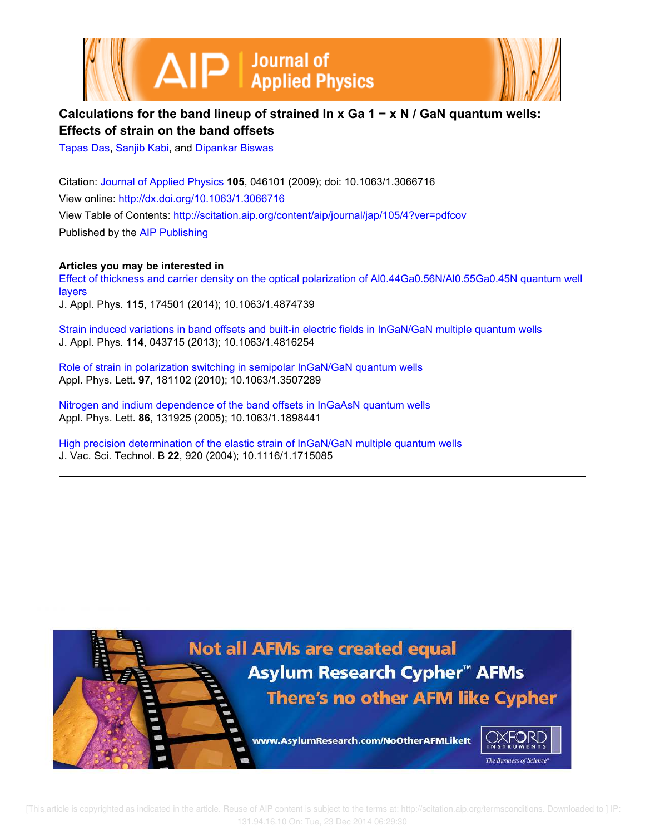



## **Calculations for the band lineup of strained In x Ga 1 − x N / GaN quantum wells: Effects of strain on the band offsets**

Tapas Das, Sanjib Kabi, and Dipankar Biswas

Citation: Journal of Applied Physics **105**, 046101 (2009); doi: 10.1063/1.3066716 View online: http://dx.doi.org/10.1063/1.3066716 View Table of Contents: http://scitation.aip.org/content/aip/journal/jap/105/4?ver=pdfcov Published by the AIP Publishing

**Articles you may be interested in**

Effect of thickness and carrier density on the optical polarization of Al0.44Ga0.56N/Al0.55Ga0.45N quantum well layers

J. Appl. Phys. **115**, 174501 (2014); 10.1063/1.4874739

Strain induced variations in band offsets and built-in electric fields in InGaN/GaN multiple quantum wells J. Appl. Phys. **114**, 043715 (2013); 10.1063/1.4816254

Role of strain in polarization switching in semipolar InGaN/GaN quantum wells Appl. Phys. Lett. **97**, 181102 (2010); 10.1063/1.3507289

Nitrogen and indium dependence of the band offsets in InGaAsN quantum wells Appl. Phys. Lett. **86**, 131925 (2005); 10.1063/1.1898441

High precision determination of the elastic strain of InGaN/GaN multiple quantum wells J. Vac. Sci. Technol. B **22**, 920 (2004); 10.1116/1.1715085



 [This article is copyrighted as indicated in the article. Reuse of AIP content is subject to the terms at: http://scitation.aip.org/termsconditions. Downloaded to ] IP: 131.94.16.10 On: Tue, 23 Dec 2014 06:29:30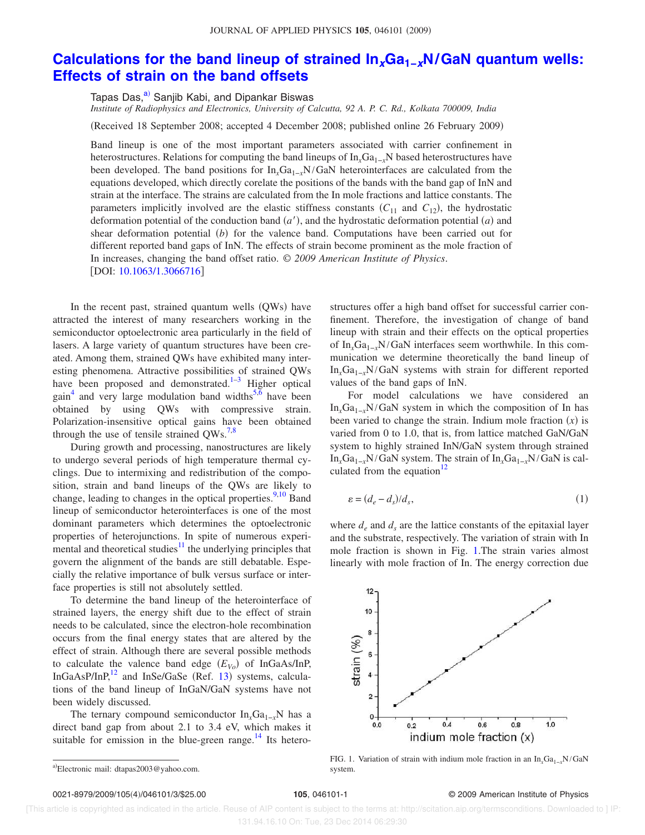## **Calculations for the band lineup of strained InxGa1−xN/GaN quantum wells: Effects of strain on the band offsets**

Tapas Das,<sup>a)</sup> Sanjib Kabi, and Dipankar Biswas

*Institute of Radiophysics and Electronics, University of Calcutta, 92 A. P. C. Rd., Kolkata 700009, India*

(Received 18 September 2008; accepted 4 December 2008; published online 26 February 2009)

Band lineup is one of the most important parameters associated with carrier confinement in heterostructures. Relations for computing the band lineups of In<sub>*i*</sub>Ga<sub>1−*x*</sub>N based heterostructures have been developed. The band positions for In*x*Ga1−*x*N/GaN heterointerfaces are calculated from the equations developed, which directly corelate the positions of the bands with the band gap of InN and strain at the interface. The strains are calculated from the In mole fractions and lattice constants. The parameters implicitly involved are the elastic stiffness constants  $(C_{11}$  and  $C_{12}$ ), the hydrostatic deformation potential of the conduction band  $(a')$ , and the hydrostatic deformation potential  $(a)$  and shear deformation potential  $(b)$  for the valence band. Computations have been carried out for different reported band gaps of InN. The effects of strain become prominent as the mole fraction of In increases, changing the band offset ratio. © *2009 American Institute of Physics*. [DOI: 10.1063/1.3066716]

In the recent past, strained quantum wells (QWs) have attracted the interest of many researchers working in the semiconductor optoelectronic area particularly in the field of lasers. A large variety of quantum structures have been created. Among them, strained QWs have exhibited many interesting phenomena. Attractive possibilities of strained QWs have been proposed and demonstrated. $\frac{1}{3}$  Higher optical gain<sup>4</sup> and very large modulation band widths<sup>5,6</sup> have been obtained by using QWs with compressive strain. Polarization-insensitive optical gains have been obtained through the use of tensile strained  $QWs.<sup>7,8</sup>$ 

During growth and processing, nanostructures are likely to undergo several periods of high temperature thermal cyclings. Due to intermixing and redistribution of the composition, strain and band lineups of the QWs are likely to change, leading to changes in the optical properties. $\frac{9,10}{8}$  Band lineup of semiconductor heterointerfaces is one of the most dominant parameters which determines the optoelectronic properties of heterojunctions. In spite of numerous experimental and theoretical studies $11$  the underlying principles that govern the alignment of the bands are still debatable. Especially the relative importance of bulk versus surface or interface properties is still not absolutely settled.

To determine the band lineup of the heterointerface of strained layers, the energy shift due to the effect of strain needs to be calculated, since the electron-hole recombination occurs from the final energy states that are altered by the effect of strain. Although there are several possible methods to calculate the valence band edge  $(E_{V_o})$  of InGaAs/InP, InGaAsP/InP, $^{12}$  and InSe/GaSe (Ref. 13) systems, calculations of the band lineup of InGaN/GaN systems have not been widely discussed.

The ternary compound semiconductor In<sub>x</sub>Ga<sub>1−*x*</sub>N has a direct band gap from about 2.1 to 3.4 eV, which makes it suitable for emission in the blue-green range.<sup>14</sup> Its heterostructures offer a high band offset for successful carrier confinement. Therefore, the investigation of change of band lineup with strain and their effects on the optical properties of In*x*Ga1−*x*N/GaN interfaces seem worthwhile. In this communication we determine theoretically the band lineup of In*x*Ga1−*<sup>x</sup>*N/GaN systems with strain for different reported values of the band gaps of InN.

For model calculations we have considered an In*x*Ga1−*<sup>x</sup>*N/GaN system in which the composition of In has been varied to change the strain. Indium mole fraction  $(x)$  is varied from 0 to 1.0, that is, from lattice matched GaN/GaN system to highly strained InN/GaN system through strained In*x*Ga1−*x*N/GaN system. The strain of In*x*Ga1−*x*N/GaN is calculated from the equation<sup>12</sup>

$$
\varepsilon = (d_e - d_s)/d_s,\tag{1}
$$

where  $d_e$  and  $d_s$  are the lattice constants of the epitaxial layer and the substrate, respectively. The variation of strain with In mole fraction is shown in Fig. 1.The strain varies almost linearly with mole fraction of In. The energy correction due



FIG. 1. Variation of strain with indium mole fraction in an In<sub>*x*</sub>Ga<sub>1−*x*</sub>N/GaN system.

## 105, 046101-1 <sup>©</sup> 2009 American Institute of Physics

 [This article is copyrighted as indicated in the article. Reuse of AIP content is subject to the terms at: http://scitation.aip.org/termsconditions. Downloaded to ] IP: 131.94.16.10 On: Tue, 23 Dec 2014 06:29:30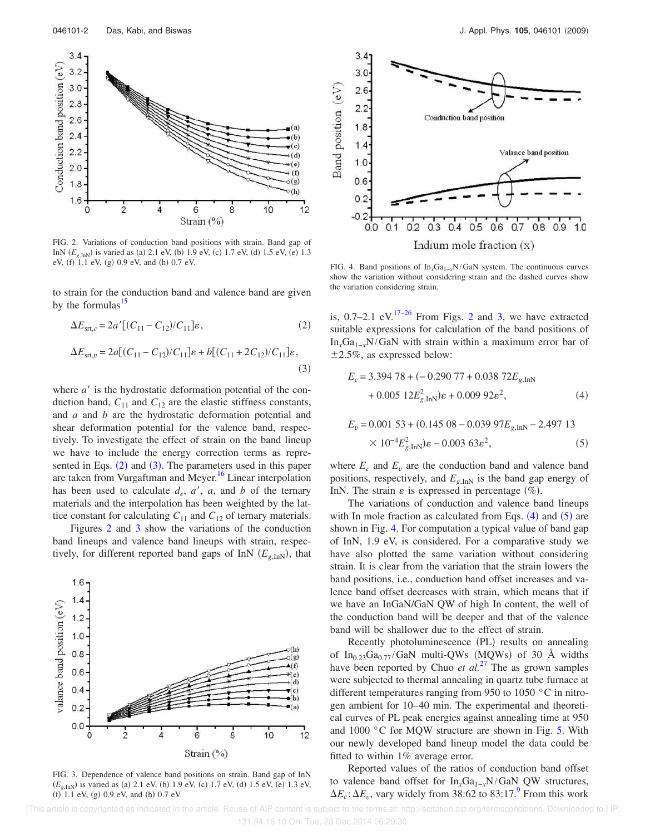

FIG. 2. Variations of conduction band positions with strain. Band gap of InN  $(E_{g, \text{InN}})$  is varied as (a) 2.1 eV, (b) 1.9 eV, (c) 1.7 eV, (d) 1.5 eV, (e) 1.3 eV, (f) 1.1 eV, (g) 0.9 eV, and (h) 0.7 eV.

to strain for the conduction band and valence band are given by the formulas $15$ 

$$
\Delta E_{\text{str},c} = 2a'[(C_{11} - C_{12})/C_{11}] \varepsilon, \qquad (2)
$$

$$
\Delta E_{\text{str},v} = 2a[(C_{11} - C_{12})/C_{11}] \varepsilon + b[(C_{11} + 2C_{12})/C_{11}] \varepsilon,
$$
\n(3)

where  $a'$  is the hydrostatic deformation potential of the conduction band,  $C_{11}$  and  $C_{12}$  are the elastic stiffness constants, and *a* and *b* are the hydrostatic deformation potential and shear deformation potential for the valence band, respectively. To investigate the effect of strain on the band lineup we have to include the energy correction terms as represented in Eqs. (2) and (3). The parameters used in this paper are taken from Vurgaftman and Meyer.<sup>16</sup> Linear interpolation has been used to calculate  $d_e$ ,  $a'$ ,  $a$ , and  $b$  of the ternary materials and the interpolation has been weighted by the lattice constant for calculating  $C_{11}$  and  $C_{12}$  of ternary materials.

Figures 2 and 3 show the variations of the conduction band lineups and valence band lineups with strain, respectively, for different reported band gaps of InN  $(E_{g, \text{InN}})$ , that



FIG. 3. Dependence of valence band positions on strain. Band gap of InN  $(E_{g, \text{InN}})$  is varied as (a) 2.1 eV, (b) 1.9 eV, (c) 1.7 eV, (d) 1.5 eV, (e) 1.3 eV,  $(f)$  1.1 eV,  $(g)$  0.9 eV, and  $(h)$  0.7 eV.



FIG. 4. Band positions of In<sub>*x*</sub>Ga<sub>1−*x*</sub>N/GaN system. The continuous curves show the variation without considering strain and the dashed curves show the variation considering strain.

is,  $0.7-2.1$  eV.<sup>17-26</sup> From Figs. 2 and 3, we have extracted suitable expressions for calculation of the band positions of In*x*Ga1−*<sup>x</sup>*N/GaN with strain within a maximum error bar of  $\pm 2.5\%$ , as expressed below:

$$
E_c = 3.394\ 78 + (-0.290\ 77 + 0.038\ 72E_{g,\text{InN}}+ 0.005\ 12E_{g,\text{InN}}^2)\varepsilon + 0.009\ 92\varepsilon^2,
$$
 (4)

$$
E_v = 0.001\ 53 + (0.145\ 08 - 0.039\ 97E_{g,\text{InN}} - 2.497\ 13
$$
  
× 10<sup>-4</sup>E<sub>g,\text{InN</sub><sup>2</sup>) $\varepsilon$  - 0.003 63 $\varepsilon$ <sup>2</sup>, (5)

where  $E_c$  and  $E_v$  are the conduction band and valence band positions, respectively, and  $E_{g,\text{InN}}$  is the band gap energy of InN. The strain  $\varepsilon$  is expressed in percentage  $(\%)$ .

The variations of conduction and valence band lineups with In mole fraction as calculated from Eqs.  $(4)$  and  $(5)$  are shown in Fig. 4. For computation a typical value of band gap of InN, 1.9 eV, is considered. For a comparative study we have also plotted the same variation without considering strain. It is clear from the variation that the strain lowers the band positions, i.e., conduction band offset increases and valence band offset decreases with strain, which means that if we have an InGaN/GaN QW of high In content, the well of the conduction band will be deeper and that of the valence band will be shallower due to the effect of strain.

Recently photoluminescence (PL) results on annealing of In<sub>0.23</sub>Ga<sub>0.77</sub>/GaN multi-QWs (MQWs) of 30 Å widths have been reported by Chuo *et al.*<sup>27</sup> The as grown samples were subjected to thermal annealing in quartz tube furnace at different temperatures ranging from 950 to 1050 °C in nitrogen ambient for 10–40 min. The experimental and theoretical curves of PL peak energies against annealing time at 950 and 1000 °C for MQW structure are shown in Fig. 5. With our newly developed band lineup model the data could be fitted to within 1% average error.

Reported values of the ratios of conduction band offset to valence band offset for In<sub>x</sub>Ga<sub>1−*x*</sub>N/GaN QW structures,  $\Delta E_c$ :  $\Delta E_v$ , vary widely from 38:62 to 83:17.<sup>9</sup> From this work

 [This article is copyrighted as indicated in the article. Reuse of AIP content is subject to the terms at: http://scitation.aip.org/termsconditions. Downloaded to ] IP: 131.94.16.10 On: Tue, 23 Dec 2014 06:29:30